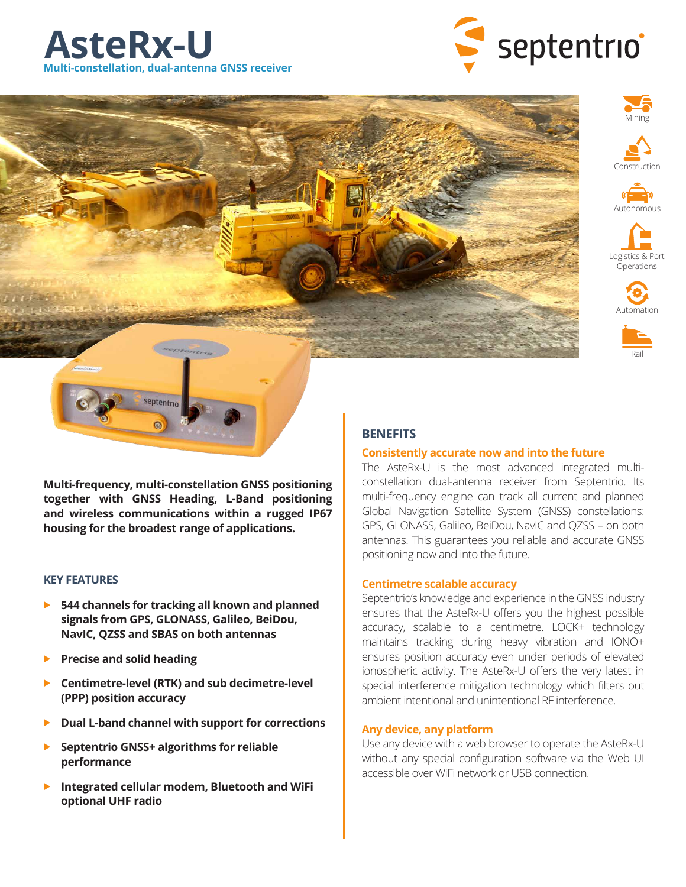

















**Multi-frequency, multi-constellation GNSS positioning together with GNSS Heading, L-Band positioning and wireless communications within a rugged IP67 housing for the broadest range of applications.**

## **KEY FEATURES**

- **544 channels for tracking all known and planned signals from GPS, GLONASS, Galileo, BeiDou, NavIC, QZSS and SBAS on both antennas**
- **Precise and solid heading**
- **Centimetre-level (RTK) and sub decimetre-level (PPP) position accuracy**
- **Dual L-band channel with support for corrections**
- **Septentrio GNSS+ algorithms for reliable performance**
- **Integrated cellular modem, Bluetooth and WiFi optional UHF radio**

## **BENEFITS**

## **Consistently accurate now and into the future**

The AsteRx-U is the most advanced integrated multiconstellation dual-antenna receiver from Septentrio. Its multi-frequency engine can track all current and planned Global Navigation Satellite System (GNSS) constellations: GPS, GLONASS, Galileo, BeiDou, NavIC and QZSS – on both antennas. This guarantees you reliable and accurate GNSS positioning now and into the future.

## **Centimetre scalable accuracy**

Septentrio's knowledge and experience in the GNSS industry ensures that the AsteRx-U offers you the highest possible accuracy, scalable to a centimetre. LOCK+ technology maintains tracking during heavy vibration and IONO+ ensures position accuracy even under periods of elevated ionospheric activity. The AsteRx-U offers the very latest in special interference mitigation technology which filters out ambient intentional and unintentional RF interference.

## **Any device, any platform**

Use any device with a web browser to operate the AsteRx-U without any special configuration software via the Web UI accessible over WiFi network or USB connection.